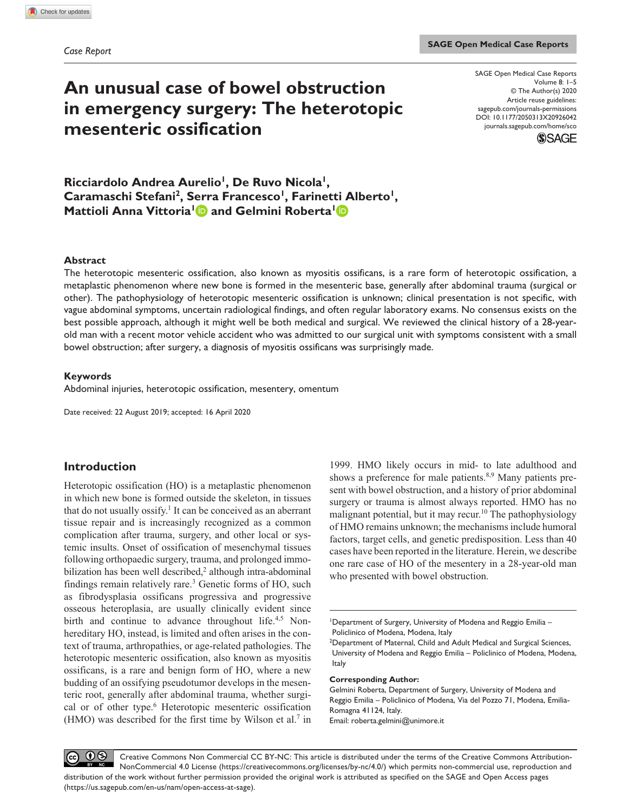# **An unusual case of bowel obstruction in emergency surgery: The heterotopic mesenteric ossification**

DOI: 10.1177/2050313X20926042 SAGE Open Medical Case Reports Volume 8: 1–5 © The Author(s) 2020 Article reuse guidelines: [sagepub.com/journals-permissions](https://uk.sagepub.com/en-gb/journals-permissions) [journals.sagepub.com/home/sco](https://journals.sagepub.com/home/sco)



Ricciardolo Andrea Aurelio<sup>1</sup>, De Ruvo Nicola<sup>1</sup>, Caramaschi Stefani<sup>2</sup>, Serra Francesco<sup>1</sup>, Farinetti Alberto<sup>1</sup>, **Mattioli Anna Vittoria<sup>1</sup> and Gelmini Roberta<sup>1</sup> and Annual Annual Annual Annual Annual Annual Annual Annual Annual Annual Annual Annual Annual Annual Annual Annual Annual Annual Annual Annual Annual Annual Annual Annual** 

## **Abstract**

The heterotopic mesenteric ossification, also known as myositis ossificans, is a rare form of heterotopic ossification, a metaplastic phenomenon where new bone is formed in the mesenteric base, generally after abdominal trauma (surgical or other). The pathophysiology of heterotopic mesenteric ossification is unknown; clinical presentation is not specific, with vague abdominal symptoms, uncertain radiological findings, and often regular laboratory exams. No consensus exists on the best possible approach, although it might well be both medical and surgical. We reviewed the clinical history of a 28-yearold man with a recent motor vehicle accident who was admitted to our surgical unit with symptoms consistent with a small bowel obstruction; after surgery, a diagnosis of myositis ossificans was surprisingly made.

## **Keywords**

Abdominal injuries, heterotopic ossification, mesentery, omentum

Date received: 22 August 2019; accepted: 16 April 2020

# **Introduction**

Heterotopic ossification (HO) is a metaplastic phenomenon in which new bone is formed outside the skeleton, in tissues that do not usually ossify.<sup>1</sup> It can be conceived as an aberrant tissue repair and is increasingly recognized as a common complication after trauma, surgery, and other local or systemic insults. Onset of ossification of mesenchymal tissues following orthopaedic surgery, trauma, and prolonged immobilization has been well described,<sup>2</sup> although intra-abdominal findings remain relatively rare.<sup>3</sup> Genetic forms of HO, such as fibrodysplasia ossificans progressiva and progressive osseous heteroplasia, are usually clinically evident since birth and continue to advance throughout life.<sup>4,5</sup> Nonhereditary HO, instead, is limited and often arises in the context of trauma, arthropathies, or age-related pathologies. The heterotopic mesenteric ossification, also known as myositis ossificans, is a rare and benign form of HO, where a new budding of an ossifying pseudotumor develops in the mesenteric root, generally after abdominal trauma, whether surgical or of other type.<sup>6</sup> Heterotopic mesenteric ossification  $(HMO)$  was described for the first time by Wilson et al.<sup>7</sup> in

1999. HMO likely occurs in mid- to late adulthood and shows a preference for male patients.<sup>8,9</sup> Many patients present with bowel obstruction, and a history of prior abdominal surgery or trauma is almost always reported. HMO has no malignant potential, but it may recur.<sup>10</sup> The pathophysiology of HMO remains unknown; the mechanisms include humoral factors, target cells, and genetic predisposition. Less than 40 cases have been reported in the literature. Herein, we describe one rare case of HO of the mesentery in a 28-year-old man who presented with bowel obstruction.

#### **Corresponding Author:**

Gelmini Roberta, Department of Surgery, University of Modena and Reggio Emilia – Policlinico of Modena, Via del Pozzo 71, Modena, Emilia-Romagna 41124, Italy. Email: [roberta.gelmini@unimore.it](mailto:roberta.gelmini@unimore.it)

 $\odot$  $(cc)$ Creative Commons Non Commercial CC BY-NC: This article is distributed under the terms of the Creative Commons Attribution-NonCommercial 4.0 License (https://creativecommons.org/licenses/by-nc/4.0/) which permits non-commercial use, reproduction and distribution of the work without further permission provided the original work is attributed as specified on the SAGE and Open Access pages (https://us.sagepub.com/en-us/nam/open-access-at-sage).

<sup>1</sup> Department of Surgery, University of Modena and Reggio Emilia – Policlinico of Modena, Modena, Italy

<sup>&</sup>lt;sup>2</sup>Department of Maternal, Child and Adult Medical and Surgical Sciences, University of Modena and Reggio Emilia – Policlinico of Modena, Modena, Italy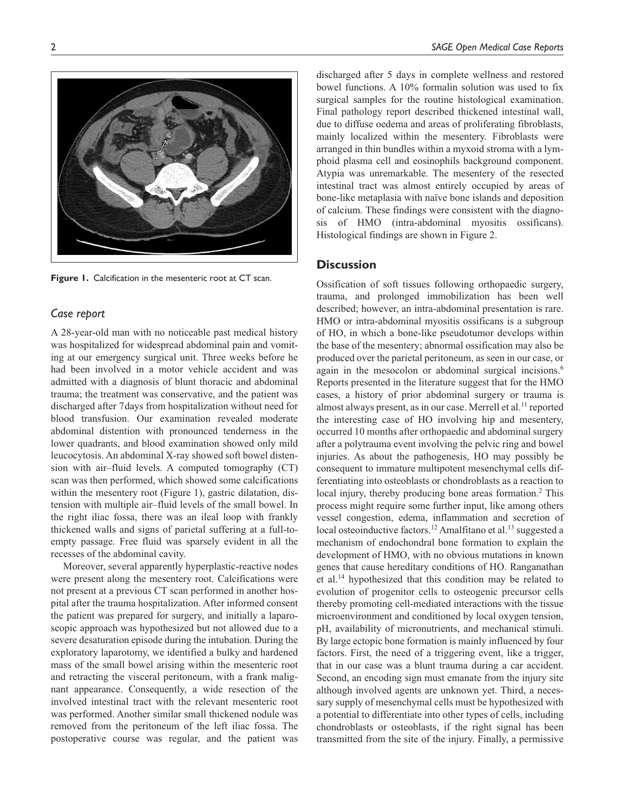**Figure 1.** Calcification in the mesenteric root at CT scan.

# *Case report*

A 28-year-old man with no noticeable past medical history was hospitalized for widespread abdominal pain and vomiting at our emergency surgical unit. Three weeks before he had been involved in a motor vehicle accident and was admitted with a diagnosis of blunt thoracic and abdominal trauma; the treatment was conservative, and the patient was discharged after 7days from hospitalization without need for blood transfusion. Our examination revealed moderate abdominal distention with pronounced tenderness in the lower quadrants, and blood examination showed only mild leucocytosis. An abdominal X-ray showed soft bowel distension with air–fluid levels. A computed tomography (CT) scan was then performed, which showed some calcifications within the mesentery root (Figure 1), gastric dilatation, distension with multiple air–fluid levels of the small bowel. In the right iliac fossa, there was an ileal loop with frankly thickened walls and signs of parietal suffering at a full-toempty passage. Free fluid was sparsely evident in all the recesses of the abdominal cavity.

Moreover, several apparently hyperplastic-reactive nodes were present along the mesentery root. Calcifications were not present at a previous CT scan performed in another hospital after the trauma hospitalization. After informed consent the patient was prepared for surgery, and initially a laparoscopic approach was hypothesized but not allowed due to a severe desaturation episode during the intubation. During the exploratory laparotomy, we identified a bulky and hardened mass of the small bowel arising within the mesenteric root and retracting the visceral peritoneum, with a frank malignant appearance. Consequently, a wide resection of the involved intestinal tract with the relevant mesenteric root was performed. Another similar small thickened nodule was removed from the peritoneum of the left iliac fossa. The postoperative course was regular, and the patient was discharged after 5 days in complete wellness and restored bowel functions. A 10% formalin solution was used to fix surgical samples for the routine histological examination. Final pathology report described thickened intestinal wall, due to diffuse oedema and areas of proliferating fibroblasts, mainly localized within the mesentery. Fibroblasts were arranged in thin bundles within a myxoid stroma with a lymphoid plasma cell and eosinophils background component. Atypia was unremarkable. The mesentery of the resected intestinal tract was almost entirely occupied by areas of bone-like metaplasia with naïve bone islands and deposition of calcium. These findings were consistent with the diagnosis of HMO (intra-abdominal myositis ossificans). Histological findings are shown in Figure 2.

# **Discussion**

Ossification of soft tissues following orthopaedic surgery, trauma, and prolonged immobilization has been well described; however, an intra-abdominal presentation is rare. HMO or intra-abdominal myositis ossificans is a subgroup of HO, in which a bone-like pseudotumor develops within the base of the mesentery; abnormal ossification may also be produced over the parietal peritoneum, as seen in our case, or again in the mesocolon or abdominal surgical incisions.<sup>6</sup> Reports presented in the literature suggest that for the HMO cases, a history of prior abdominal surgery or trauma is almost always present, as in our case. Merrell et al.<sup>11</sup> reported the interesting case of HO involving hip and mesentery, occurred 10 months after orthopaedic and abdominal surgery after a polytrauma event involving the pelvic ring and bowel injuries. As about the pathogenesis, HO may possibly be consequent to immature multipotent mesenchymal cells differentiating into osteoblasts or chondroblasts as a reaction to local injury, thereby producing bone areas formation.<sup>2</sup> This process might require some further input, like among others vessel congestion, edema, inflammation and secretion of local osteoinductive factors.<sup>12</sup> Amalfitano et al.<sup>13</sup> suggested a mechanism of endochondral bone formation to explain the development of HMO, with no obvious mutations in known genes that cause hereditary conditions of HO. Ranganathan et al.14 hypothesized that this condition may be related to evolution of progenitor cells to osteogenic precursor cells thereby promoting cell-mediated interactions with the tissue microenvironment and conditioned by local oxygen tension, pH, availability of micronutrients, and mechanical stimuli. By large ectopic bone formation is mainly influenced by four factors. First, the need of a triggering event, like a trigger, that in our case was a blunt trauma during a car accident. Second, an encoding sign must emanate from the injury site although involved agents are unknown yet. Third, a necessary supply of mesenchymal cells must be hypothesized with a potential to differentiate into other types of cells, including chondroblasts or osteoblasts, if the right signal has been transmitted from the site of the injury. Finally, a permissive

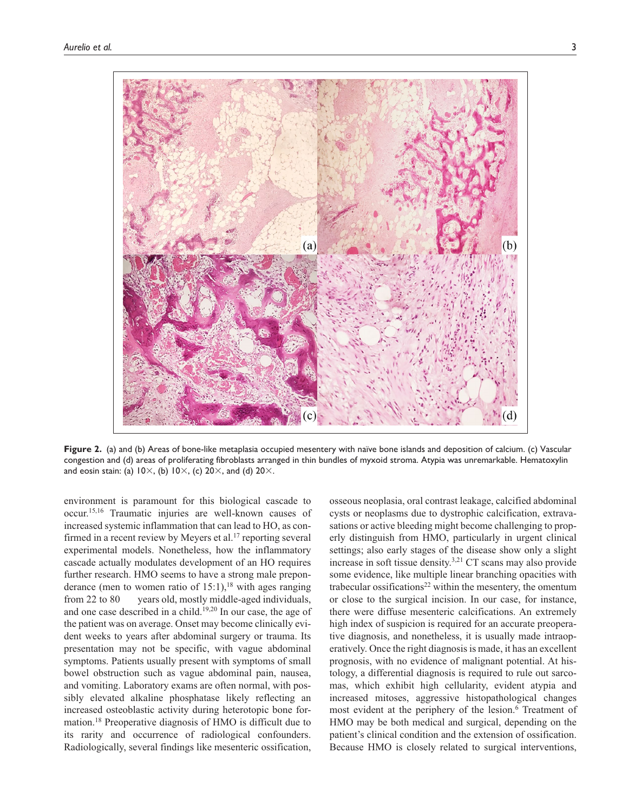

**Figure 2.** (a) and (b) Areas of bone-like metaplasia occupied mesentery with naïve bone islands and deposition of calcium. (c) Vascular congestion and (d) areas of proliferating fibroblasts arranged in thin bundles of myxoid stroma. Atypia was unremarkable. Hematoxylin and eosin stain: (a)  $10 \times$ , (b)  $10 \times$ , (c)  $20 \times$ , and (d)  $20 \times$ .

environment is paramount for this biological cascade to occur.15,16 Traumatic injuries are well-known causes of increased systemic inflammation that can lead to HO, as confirmed in a recent review by Meyers et al.<sup>17</sup> reporting several experimental models. Nonetheless, how the inflammatory cascade actually modulates development of an HO requires further research. HMO seems to have a strong male preponderance (men to women ratio of 15:1),<sup>18</sup> with ages ranging from 22 to 80 years old, mostly middle-aged individuals, and one case described in a child.<sup>19,20</sup> In our case, the age of the patient was on average. Onset may become clinically evident weeks to years after abdominal surgery or trauma. Its presentation may not be specific, with vague abdominal symptoms. Patients usually present with symptoms of small bowel obstruction such as vague abdominal pain, nausea, and vomiting. Laboratory exams are often normal, with possibly elevated alkaline phosphatase likely reflecting an increased osteoblastic activity during heterotopic bone formation.18 Preoperative diagnosis of HMO is difficult due to its rarity and occurrence of radiological confounders. Radiologically, several findings like mesenteric ossification,

osseous neoplasia, oral contrast leakage, calcified abdominal cysts or neoplasms due to dystrophic calcification, extravasations or active bleeding might become challenging to properly distinguish from HMO, particularly in urgent clinical settings; also early stages of the disease show only a slight increase in soft tissue density.3,21 CT scans may also provide some evidence, like multiple linear branching opacities with trabecular ossifications<sup>22</sup> within the mesentery, the omentum or close to the surgical incision. In our case, for instance, there were diffuse mesenteric calcifications. An extremely high index of suspicion is required for an accurate preoperative diagnosis, and nonetheless, it is usually made intraoperatively. Once the right diagnosis is made, it has an excellent prognosis, with no evidence of malignant potential. At histology, a differential diagnosis is required to rule out sarcomas, which exhibit high cellularity, evident atypia and increased mitoses, aggressive histopathological changes most evident at the periphery of the lesion.<sup>6</sup> Treatment of HMO may be both medical and surgical, depending on the patient's clinical condition and the extension of ossification. Because HMO is closely related to surgical interventions,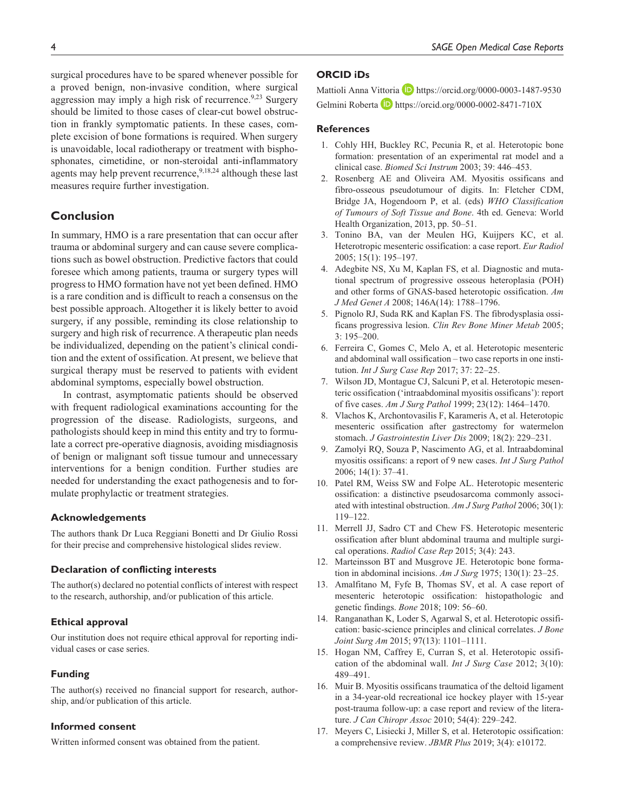surgical procedures have to be spared whenever possible for a proved benign, non-invasive condition, where surgical aggression may imply a high risk of recurrence.<sup>9,23</sup> Surgery should be limited to those cases of clear-cut bowel obstruction in frankly symptomatic patients. In these cases, complete excision of bone formations is required. When surgery is unavoidable, local radiotherapy or treatment with bisphosphonates, cimetidine, or non-steroidal anti-inflammatory agents may help prevent recurrence,  $9,18,24$  although these last measures require further investigation.

# **Conclusion**

In summary, HMO is a rare presentation that can occur after trauma or abdominal surgery and can cause severe complications such as bowel obstruction. Predictive factors that could foresee which among patients, trauma or surgery types will progress to HMO formation have not yet been defined. HMO is a rare condition and is difficult to reach a consensus on the best possible approach. Altogether it is likely better to avoid surgery, if any possible, reminding its close relationship to surgery and high risk of recurrence. A therapeutic plan needs be individualized, depending on the patient's clinical condition and the extent of ossification. At present, we believe that surgical therapy must be reserved to patients with evident abdominal symptoms, especially bowel obstruction.

In contrast, asymptomatic patients should be observed with frequent radiological examinations accounting for the progression of the disease. Radiologists, surgeons, and pathologists should keep in mind this entity and try to formulate a correct pre-operative diagnosis, avoiding misdiagnosis of benign or malignant soft tissue tumour and unnecessary interventions for a benign condition. Further studies are needed for understanding the exact pathogenesis and to formulate prophylactic or treatment strategies.

#### **Acknowledgements**

The authors thank Dr Luca Reggiani Bonetti and Dr Giulio Rossi for their precise and comprehensive histological slides review.

#### **Declaration of conflicting interests**

The author(s) declared no potential conflicts of interest with respect to the research, authorship, and/or publication of this article.

#### **Ethical approval**

Our institution does not require ethical approval for reporting individual cases or case series.

#### **Funding**

The author(s) received no financial support for research, authorship, and/or publication of this article.

## **Informed consent**

Written informed consent was obtained from the patient.

## **ORCID iDs**

Mattioli Anna Vittoria D <https://orcid.org/0000-0003-1487-9530> Gelmini Roberta **<https://orcid.org/0000-0002-8471-710X>** 

## **References**

- 1. Cohly HH, Buckley RC, Pecunia R, et al. Heterotopic bone formation: presentation of an experimental rat model and a clinical case. *Biomed Sci Instrum* 2003; 39: 446–453.
- 2. Rosenberg AE and Oliveira AM. Myositis ossificans and fibro-osseous pseudotumour of digits. In: Fletcher CDM, Bridge JA, Hogendoorn P, et al. (eds) *WHO Classification of Tumours of Soft Tissue and Bone*. 4th ed. Geneva: World Health Organization, 2013, pp. 50–51.
- 3. Tonino BA, van der Meulen HG, Kuijpers KC, et al. Heterotropic mesenteric ossification: a case report. *Eur Radiol* 2005; 15(1): 195–197.
- 4. Adegbite NS, Xu M, Kaplan FS, et al. Diagnostic and mutational spectrum of progressive osseous heteroplasia (POH) and other forms of GNAS-based heterotopic ossification. *Am J Med Genet A* 2008; 146A(14): 1788–1796.
- 5. Pignolo RJ, Suda RK and Kaplan FS. The fibrodysplasia ossificans progressiva lesion. *Clin Rev Bone Miner Metab* 2005; 3: 195–200.
- 6. Ferreira C, Gomes C, Melo A, et al. Heterotopic mesenteric and abdominal wall ossification – two case reports in one institution. *Int J Surg Case Rep* 2017; 37: 22–25.
- 7. Wilson JD, Montague CJ, Salcuni P, et al. Heterotopic mesenteric ossification ('intraabdominal myositis ossificans'): report of five cases. *Am J Surg Pathol* 1999; 23(12): 1464–1470.
- 8. Vlachos K, Archontovasilis F, Karameris A, et al. Heterotopic mesenteric ossification after gastrectomy for watermelon stomach. *J Gastrointestin Liver Dis* 2009; 18(2): 229–231.
- 9. Zamolyi RQ, Souza P, Nascimento AG, et al. Intraabdominal myositis ossificans: a report of 9 new cases. *Int J Surg Pathol* 2006; 14(1): 37–41.
- 10. Patel RM, Weiss SW and Folpe AL. Heterotopic mesenteric ossification: a distinctive pseudosarcoma commonly associated with intestinal obstruction. *Am J Surg Pathol* 2006; 30(1): 119–122.
- 11. Merrell JJ, Sadro CT and Chew FS. Heterotopic mesenteric ossification after blunt abdominal trauma and multiple surgical operations. *Radiol Case Rep* 2015; 3(4): 243.
- 12. Marteinsson BT and Musgrove JE. Heterotopic bone formation in abdominal incisions. *Am J Surg* 1975; 130(1): 23–25.
- 13. Amalfitano M, Fyfe B, Thomas SV, et al. A case report of mesenteric heterotopic ossification: histopathologic and genetic findings. *Bone* 2018; 109: 56–60.
- 14. Ranganathan K, Loder S, Agarwal S, et al. Heterotopic ossification: basic-science principles and clinical correlates. *J Bone Joint Surg Am* 2015; 97(13): 1101–1111.
- 15. Hogan NM, Caffrey E, Curran S, et al. Heterotopic ossification of the abdominal wall. *Int J Surg Case* 2012; 3(10): 489–491.
- 16. Muir B. Myositis ossificans traumatica of the deltoid ligament in a 34-year-old recreational ice hockey player with 15-year post-trauma follow-up: a case report and review of the literature. *J Can Chiropr Assoc* 2010; 54(4): 229–242.
- 17. Meyers C, Lisiecki J, Miller S, et al. Heterotopic ossification: a comprehensive review. *JBMR Plus* 2019; 3(4): e10172.